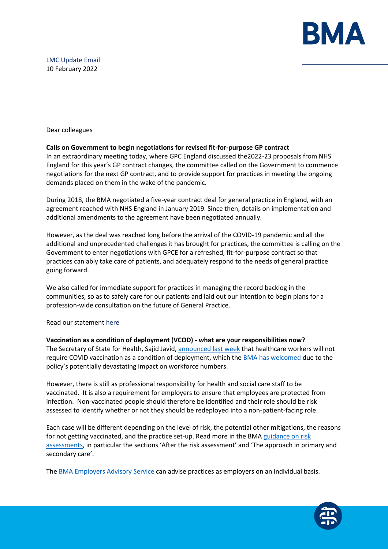

# LMC Update Email 10 February 2022

Dear colleagues

# **Calls on Government to begin negotiations for revised fit-for-purpose GP contract**

In an extraordinary meeting today, where GPC England discussed the2022-23 proposals from NHS England for this year's GP contract changes, the committee called on the Government to commence negotiations for the next GP contract, and to provide support for practices in meeting the ongoing demands placed on them in the wake of the pandemic.

During 2018, the BMA negotiated a five-year contract deal for general practice in England, with an agreement reached with NHS England in January 2019. Since then, details on implementation and additional amendments to the agreement have been negotiated annually.

However, as the deal was reached long before the arrival of the COVID-19 pandemic and all the additional and unprecedented challenges it has brought for practices, the committee is calling on the Government to enter negotiations with GPCE for a refreshed, fit-for-purpose contract so that practices can ably take care of patients, and adequately respond to the needs of general practice going forward.

We also called for immediate support for practices in managing the record backlog in the communities, so as to safely care for our patients and laid out our intention to begin plans for a profession-wide consultation on the future of General Practice.

# Read our statemen[t here](https://www.bma.org.uk/bma-media-centre/bma-s-england-gp-committee-calls-on-government-to-begin-negotiations-for-revised-fit-for-purpose-gp-contract-in-england)

# **Vaccination as a condition of deployment (VCOD) - what are your responsibilities now?**

The Secretary of State for Health, Sajid Javid[, announced last week](https://www.gov.uk/government/speeches/oral-statement-on-vaccines-as-a-condition-of-deployment) that healthcare workers will not require COVID vaccination as a condition of deployment, which the [BMA has welcomed](https://www.bma.org.uk/bma-media-centre/bma-says-scrapping-mandatory-vaccination-policy-is-the-right-move-given-potentially-devastating-impact-on-staffing-and-patient-care) due to the policy's potentially devastating impact on workforce numbers.

However, there is still as professional responsibility for health and social care staff to be vaccinated. It is also a requirement for employers to ensure that employees are protected from infection. Non-vaccinated people should therefore be identified and their role should be risk assessed to identify whether or not they should be redeployed into a non-patient-facing role.

Each case will be different depending on the level of risk, the potential other mitigations, the reasons for not getting vaccinated, and the practice set-up. Read more in the BMA guidance on risk [assessments](https://protect-eu.mimecast.com/s/vjC1CG800H1rXRBHKwEJb?domain=bma.org.uk), in particular the sections 'After the risk assessment' and 'The approach in primary and secondary care'.

The [BMA Employers Advisory Service](https://www.bma.org.uk/about-us/contact-us/get-in-touch/contact-us) can advise practices as employers on an individual basis.

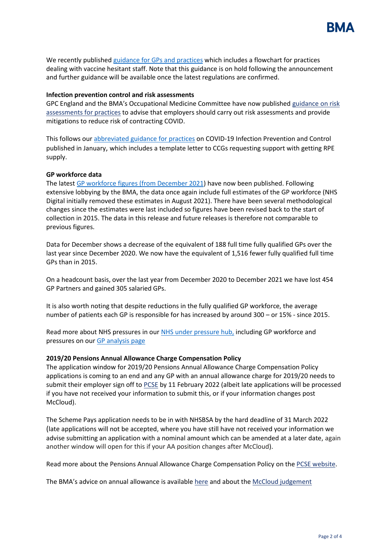

We recently publishe[d guidance for GPs and practices](https://www.bma.org.uk/advice-and-support/covid-19/vaccines/covid-19-mandatory-vaccinations-for-staff-in-gp-practices) which includes a flowchart for practices dealing with vaccine hesitant staff. Note that this guidance is on hold following the announcement and further guidance will be available once the latest regulations are confirmed.

### **Infection prevention control and risk assessments**

GPC England and the BMA's Occupational Medicine Committee have now published [guidance on risk](https://www.bma.org.uk/advice-and-support/covid-19/gp-practices/covid-19-toolkit-for-gps-and-gp-practices/risk-assessment-for-gp-practices-in-england)  [assessments for practices](https://www.bma.org.uk/advice-and-support/covid-19/gp-practices/covid-19-toolkit-for-gps-and-gp-practices/risk-assessment-for-gp-practices-in-england) to advise that employers should carry out risk assessments and provide mitigations to reduce risk of contracting COVID.

This follows our [abbreviated guidance for practices](https://i.emlfiles4.com/cmpdoc/3/7/7/5/2/files/868663_ppe-risk-assessment-final.pdf?utm_source=The%20British%20Medical%20Association&utm_medium=email&utm_campaign=12917145_GP%20ENEWSLETTER%2013012022&dm_t=0,0,0,0,0) on COVID-19 Infection Prevention and Control published in January, which includes a template letter to CCGs requesting support with getting RPE supply.

### **GP workforce data**

The lates[t GP workforce figures \(from December 2021\)](https://digital.nhs.uk/data-and-information/publications/statistical/general-and-personal-medical-services) have now been published. Following extensive lobbying by the BMA, the data once again include full estimates of the GP workforce (NHS Digital initially removed these estimates in August 2021). There have been several methodological changes since the estimates were last included so figures have been revised back to the start of collection in 2015. The data in this release and future releases is therefore not comparable to previous figures.

Data for December shows a decrease of the equivalent of 188 full time fully qualified GPs over the last year since December 2020. We now have the equivalent of 1,516 fewer fully qualified full time GPs than in 2015.

On a headcount basis, over the last year from December 2020 to December 2021 we have lost 454 GP Partners and gained 305 salaried GPs.

It is also worth noting that despite reductions in the fully qualified GP workforce, the average number of patients each GP is responsible for has increased by around 300 – or 15% - since 2015.

Read more about NHS pressures in our [NHS under pressure hub,](https://www.bma.org.uk/advice-and-support/nhs-delivery-and-workforce/pressures/an-nhs-under-pressure) including GP workforce and pressures on ou[r GP analysis page](https://www.bma.org.uk/advice-and-support/nhs-delivery-and-workforce/pressures/pressures-in-general-practice-data-analysis)

#### **2019/20 Pensions Annual Allowance Charge Compensation Policy**

The application window for 2019/20 Pensions Annual Allowance Charge Compensation Policy applications is coming to an end and any GP with an annual allowance charge for 2019/20 needs to submit their employer sign off to **PCSE** by 11 February 2022 (albeit late applications will be processed if you have not received your information to submit this, or if your information changes post McCloud).

The Scheme Pays application needs to be in with NHSBSA by the hard deadline of 31 March 2022 (late applications will not be accepted, where you have still have not received your information we advise submitting an application with a nominal amount which can be amended at a later date, again another window will open for this if your AA position changes after McCloud).

Read more about the Pensions Annual Allowance Charge Compensation Policy on th[e PCSE website.](https://protect-eu.mimecast.com/s/jxHbC69QQUrJMyGspPoRy?domain=pcse.england.nhs.uk/)

The BMA's advice on annual allowance is available [here](https://www.bma.org.uk/pay-and-contracts/pensions/tax/annual-allowance-compensation-scheme-201920) and about the [McCloud judgement](https://www.bma.org.uk/pay-and-contracts/pensions/transitioning-to-the-2015-nhs-pension-scheme/mccloud-pension-consultation-judgment)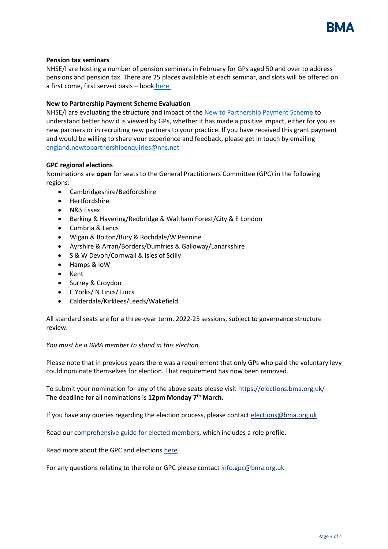

### **Pension tax seminars**

NHSE/I are hosting a number of pension seminars in February for GPs aged 50 and over to address pensions and pension tax. There are 25 places available at each seminar, and slots will be offered on a first come, first served basis – book [here](https://www.events.england.nhs.uk/events/pensions-tax-lta-seminar)

### **New to Partnership Payment Scheme Evaluation**

NHSE/I are evaluating the structure and impact of the [New to Partnership Payment Scheme](https://www.england.nhs.uk/gp/the-best-place-to-work/new-to-partnership-payment-scheme/) to understand better how it is viewed by GPs, whether it has made a positive impact, either for you as new partners or in recruiting new partners to your practice. If you have received this grant payment and would be willing to share your experience and feedback, please get in touch by emailing [england.newtopartnershipenquiries@nhs.net](mailto:england.newtopartnershipenquiries@nhs.net)

### **GPC regional elections**

Nominations are **open** for seats to the General Practitioners Committee (GPC) in the following regions:

- Cambridgeshire/Bedfordshire
- Hertfordshire
- N&S Essex
- Barking & Havering/Redbridge & Waltham Forest/City & E London
- Cumbria & Lancs
- Wigan & Bolton/Bury & Rochdale/W Pennine
- Ayrshire & Arran/Borders/Dumfries & Galloway/Lanarkshire
- S & W Devon/Cornwall & Isles of Scilly
- Hamps & IoW
- Kent
- Surrey & Croydon
- E Yorks/ N Lincs/ Lincs
- Calderdale/Kirklees/Leeds/Wakefield.

All standard seats are for a three-year term, 2022-25 sessions, subject to governance structure review.

#### *You must be a BMA member to stand in this election.*

Please note that in previous years there was a requirement that only GPs who paid the voluntary levy could nominate themselves for election. That requirement has now been removed.

To submit your nomination for any of the above seats please visit [https://elections.bma.org.uk/](https://protect-eu.mimecast.com/s/eHoKCnO11hlJjyf2kXSW?domain=elections.bma.org.uk) The deadline for all nominations is **12pm Monday 7th March.** 

If you have any queries regarding the election process, please contac[t elections@bma.org.uk](mailto:elections@bma.org.uk)

Read our [comprehensive guide for elected members,](https://www.bma.org.uk/media/5001/bma-guide-for-elected-members-jan-2022.pdf) which includes a role profile.

Read more about the GPC and election[s here](https://www.bma.org.uk/what-we-do/committees/general-practitioners-committee/general-practitioners-committee-uk-overview)

For any questions relating to the role or GPC please contact [info.gpc@bma.org.uk](mailto:info.gpc@bma.org.uk)